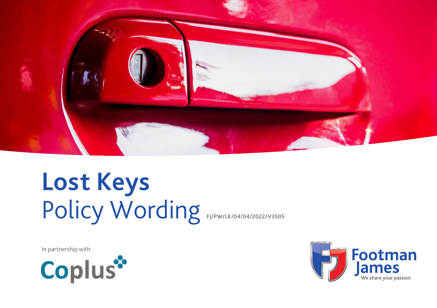

# **Lost Keys** Policy Wording FJ/PW/LK/04/04/2022/V3505

In partnership with



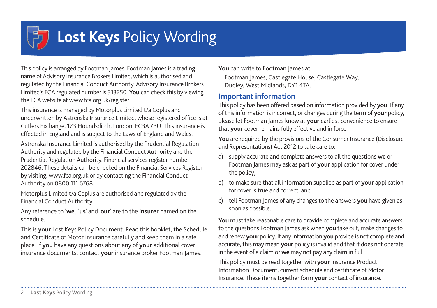

# **Lost Keys** Policy Wording

This policy is arranged by Footman James. Footman James is a trading name of Advisory Insurance Brokers Limited, which is authorised and regulated by the Financial Conduct Authority. Advisory Insurance Brokers Limited's FCA regulated number is 313250. **You** can check this by viewing the FCA website at www.fca.org.uk/register.

This insurance is managed by Motorplus Limited t/a Coplus and underwritten by Astrenska Insurance Limited, whose registered office is at Cutlers Exchange, 123 Houndsditch, London, EC3A 7BU. This insurance is effected in England and is subject to the Laws of England and Wales.

Astrenska Insurance Limited is authorised by the Prudential Regulation Authority and regulated by the Financial Conduct Authority and the Prudential Regulation Authority. Financial services register number 202846. These details can be checked on the Financial Services Register by visiting: www.fca.org.uk or by contacting the Financial Conduct Authority on 0800 111 6768.

Motorplus Limited t/a Coplus are authorised and regulated by the Financial Conduct Authority.

Any reference to '**we**', '**us**' and '**our**' are to the **insurer** named on the schedule.

This is **your** Lost Keys Policy Document. Read this booklet, the Schedule and Certificate of Motor Insurance carefully and keep them in a safe place. If **you** have any questions about any of **your** additional cover insurance documents, contact **your** insurance broker Footman James.

**You** can write to Footman James at:

Footman James, Castlegate House, Castlegate Way, Dudley, West Midlands, DY1 4TA.

# **Important information**

This policy has been offered based on information provided by **you**. If any of this information is incorrect, or changes during the term of **your** policy, please let Footman James know at **your** earliest convenience to ensure that **your** cover remains fully effective and in force.

**You** are required by the provisions of the Consumer Insurance (Disclosure and Representations) Act 2012 to take care to:

- a) supply accurate and complete answers to all the questions **we** or Footman James may ask as part of **your** application for cover under the policy;
- b) to make sure that all information supplied as part of **your** application for cover is true and correct; and
- c) tell Footman James of any changes to the answers **you** have given as soon as possible.

**You** must take reasonable care to provide complete and accurate answers to the questions Footman James ask when **you** take out, make changes to and renew **your** policy. If any information **you** provide is not complete and accurate, this may mean **your** policy is invalid and that it does not operate in the event of a claim or **we** may not pay any claim in full.

This policy must be read together with **your** Insurance Product Information Document, current schedule and certificate of Motor Insurance. These items together form **your** contact of insurance.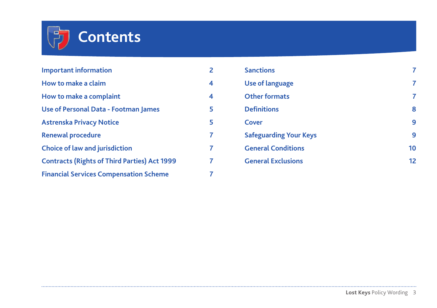

| <b>Important information</b>                        | 2 |
|-----------------------------------------------------|---|
| How to make a claim                                 | 4 |
| How to make a complaint                             | 4 |
| Use of Personal Data - Footman James                | 5 |
| <b>Astrenska Privacy Notice</b>                     | 5 |
| <b>Renewal procedure</b>                            | 7 |
| <b>Choice of law and jurisdiction</b>               | 7 |
| <b>Contracts (Rights of Third Parties) Act 1999</b> | 7 |
| <b>Financial Services Compensation Scheme</b>       | 7 |

| <b>Sanctions</b>              |    |
|-------------------------------|----|
| <b>Use of language</b>        |    |
| <b>Other formats</b>          | 7  |
| <b>Definitions</b>            | 8  |
| Cover                         | q  |
| <b>Safeguarding Your Keys</b> | q  |
| <b>General Conditions</b>     | 10 |
| <b>General Exclusions</b>     | 12 |
|                               |    |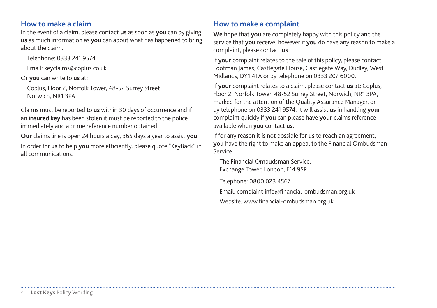## **How to make a claim**

In the event of a claim, please contact **us** as soon as **you** can by giving **us** as much information as **you** can about what has happened to bring about the claim.

Telephone: 0333 241 9574

Email: keyclaims@coplus.co.uk

Or **you** can write to **us** at:

Coplus, Floor 2, Norfolk Tower, 48-52 Surrey Street, Norwich, NR1 3PA.

Claims must be reported to **us** within 30 days of occurrence and if an **insured key** has been stolen it must be reported to the police immediately and a crime reference number obtained.

**Our** claims line is open 24 hours a day, 365 days a year to assist **you**.

In order for **us** to help **you** more efficiently, please quote "KeyBack" in all communications.

# **How to make a complaint**

**We** hope that **you** are completely happy with this policy and the service that **you** receive, however if **you** do have any reason to make a complaint, please contact **us**.

If **your** complaint relates to the sale of this policy, please contact Footman James, Castlegate House, Castlegate Way, Dudley, West Midlands, DY1 4TA or by telephone on 0333 207 6000.

If **your** complaint relates to a claim, please contact **us** at: Coplus, Floor 2, Norfolk Tower, 48-52 Surrey Street, Norwich, NR1 3PA, marked for the attention of the Quality Assurance Manager, or by telephone on 0333 241 9574. It will assist **us** in handling **your** complaint quickly if **you** can please have **your** claims reference available when **you** contact **us**.

If for any reason it is not possible for **us** to reach an agreement, **you** have the right to make an appeal to the Financial Ombudsman Service.

The Financial Ombudsman Service, Exchange Tower, London, E14 9SR.

Telephone: 0800 023 4567 Email: complaint.info@financial-ombudsman.org.uk Website: www.financial-ombudsman.org.uk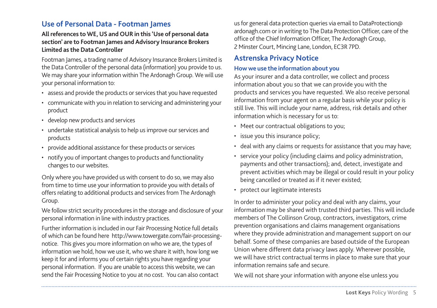#### **Use of Personal Data - Footman James**

#### **All references to WE, US and OUR in this 'Use of personal data section' are to Footman James and Advisory Insurance Brokers Limited as the Data Controller**

Footman James, a trading name of Advisory Insurance Brokers Limited is the Data Controller of the personal data (information) you provide to us. We may share your information within The Ardonagh Group. We will use your personal information to:

- assess and provide the products or services that you have requested
- communicate with you in relation to servicing and administering your product
- develop new products and services
- undertake statistical analysis to help us improve our services and products
- provide additional assistance for these products or services
- notify you of important changes to products and functionality changes to our websites.

Only where you have provided us with consent to do so, we may also from time to time use your information to provide you with details of offers relating to additional products and services from The Ardonagh Group.

We follow strict security procedures in the storage and disclosure of your personal information in line with industry practices.

Further information is included in our Fair Processing Notice full details of which can be found here http://www.towergate.com/fair-processingnotice. This gives you more information on who we are, the types of information we hold, how we use it, who we share it with, how long we keep it for and informs you of certain rights you have regarding your personal information. If you are unable to access this website, we can send the Fair Processing Notice to you at no cost. You can also contact

us for general data protection queries via email to DataProtection@ ardonagh.com or in writing to The Data Protection Officer, care of the office of the Chief Information Officer, The Ardonagh Group, 2 Minster Court, Mincing Lane, London, EC3R 7PD.

# **Astrenska Privacy Notice**

#### **How we use the information about you**

As your insurer and a data controller, we collect and process information about you so that we can provide you with the products and services you have requested. We also receive personal information from your agent on a regular basis while your policy is still live. This will include your name, address, risk details and other information which is necessary for us to:

- Meet our contractual obligations to you;
- issue you this insurance policy;
- deal with any claims or requests for assistance that you may have;
- service your policy (including claims and policy administration, payments and other transactions); and, detect, investigate and prevent activities which may be illegal or could result in your policy being cancelled or treated as if it never existed;
- protect our legitimate interests

In order to administer your policy and deal with any claims, your information may be shared with trusted third parties. This will include members of The Collinson Group, contractors, investigators, crime prevention organisations and claims management organisations where they provide administration and management support on our behalf. Some of these companies are based outside of the European Union where different data privacy laws apply. Wherever possible, we will have strict contractual terms in place to make sure that your information remains safe and secure.

We will not share your information with anyone else unless you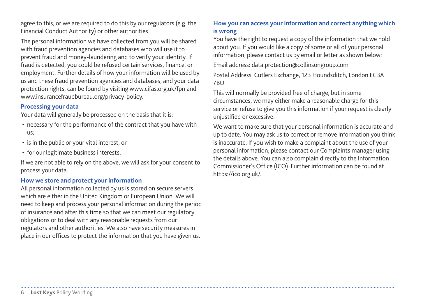agree to this, or we are required to do this by our regulators (e.g. the Financial Conduct Authority) or other authorities.

The personal information we have collected from you will be shared with fraud prevention agencies and databases who will use it to prevent fraud and money-laundering and to verify your identity. If fraud is detected, you could be refused certain services, finance, or employment. Further details of how your information will be used by us and these fraud prevention agencies and databases, and your data protection rights, can be found by visiting www.cifas.org.uk/fpn and www.insurancefraudbureau.org/privacy-policy.

#### **Processing your data**

Your data will generally be processed on the basis that it is:

- necessary for the performance of the contract that you have with us;
- is in the public or your vital interest; or
- for our legitimate business interests.

If we are not able to rely on the above, we will ask for your consent to process your data.

#### **How we store and protect your information**

All personal information collected by us is stored on secure servers which are either in the United Kingdom or European Union. We will need to keep and process your personal information during the period of insurance and after this time so that we can meet our regulatory obligations or to deal with any reasonable requests from our regulators and other authorities. We also have security measures in place in our offices to protect the information that you have given us.

#### **How you can access your information and correct anything which is wrong**

You have the right to request a copy of the information that we hold about you. If you would like a copy of some or all of your personal information, please contact us by email or letter as shown below:

Email address: data.protection@collinsongroup.com

Postal Address: Cutlers Exchange, 123 Houndsditch, London EC3A 7BU

This will normally be provided free of charge, but in some circumstances, we may either make a reasonable charge for this service or refuse to give you this information if your request is clearly unjustified or excessive.

We want to make sure that your personal information is accurate and up to date. You may ask us to correct or remove information you think is inaccurate. If you wish to make a complaint about the use of your personal information, please contact our Complaints manager using the details above. You can also complain directly to the Information Commissioner's Office (ICO). Further information can be found at https://ico.org.uk/.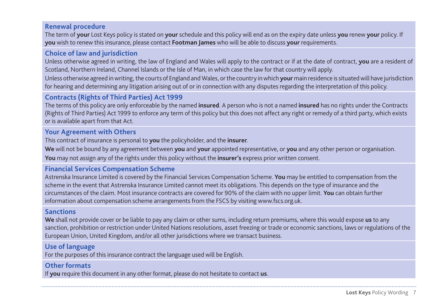#### **Renewal procedure**

The term of **your** Lost Keys policy is stated on **your** schedule and this policy will end as on the expiry date unless **you** renew **your** policy. If **you** wish to renew this insurance, please contact **Footman James** who will be able to discuss **your** requirements.

#### **Choice of law and jurisdiction**

Unless otherwise agreed in writing, the law of England and Wales will apply to the contract or if at the date of contract, **you** are a resident of Scotland, Northern Ireland, Channel Islands or the Isle of Man, in which case the law for that country will apply.

Unless otherwise agreed in writing, the courts of England and Wales, or the country in which **your** main residence is situated will have jurisdiction for hearing and determining any litigation arising out of or in connection with any disputes regarding the interpretation of this policy.

#### **Contracts (Rights of Third Parties) Act 1999**

The terms of this policy are only enforceable by the named **insured**. A person who is not a named **insured** has no rights under the Contracts (Rights of Third Parties) Act 1999 to enforce any term of this policy but this does not affect any right or remedy of a third party, which exists or is available apart from that Act.

#### **Your Agreement with Others**

This contract of insurance is personal to **you** the policyholder, and the **insurer**.

**We** will not be bound by any agreement between **you** and **your** appointed representative, or **you** and any other person or organisation.

**You** may not assign any of the rights under this policy without the **insurer's** express prior written consent.

#### **Financial Services Compensation Scheme**

Astrenska Insurance Limited is covered by the Financial Services Compensation Scheme. **You** may be entitled to compensation from the scheme in the event that Astrenska Insurance Limited cannot meet its obligations. This depends on the type of insurance and the circumstances of the claim. Most insurance contracts are covered for 90% of the claim with no upper limit. **You** can obtain further information about compensation scheme arrangements from the FSCS by visiting www.fscs.org.uk.

#### **Sanctions**

**We** shall not provide cover or be liable to pay any claim or other sums, including return premiums, where this would expose **us** to any sanction, prohibition or restriction under United Nations resolutions, asset freezing or trade or economic sanctions, laws or regulations of the European Union, United Kingdom, and/or all other jurisdictions where we transact business.

#### **Use of language**

For the purposes of this insurance contract the language used will be English.

#### **Other formats**

If **you** require this document in any other format, please do not hesitate to contact **us**.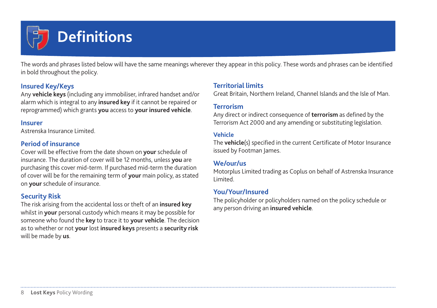

The words and phrases listed below will have the same meanings wherever they appear in this policy. These words and phrases can be identified in bold throughout the policy.

#### **Insured Key/Keys**

Any **vehicle keys** (including any immobiliser, infrared handset and/or alarm which is integral to any **insured key** if it cannot be repaired or reprogrammed) which grants **you** access to **your insured vehicle**.

#### **Insurer**

Astrenska Insurance Limited.

#### **Period of insurance**

Cover will be effective from the date shown on **your** schedule of insurance. The duration of cover will be 12 months, unless **you** are purchasing this cover mid-term. If purchased mid-term the duration of cover will be for the remaining term of **your** main policy, as stated on **your** schedule of insurance.

#### **Security Risk**

The risk arising from the accidental loss or theft of an **insured key** whilst in **your** personal custody which means it may be possible for someone who found the **key** to trace it to **your vehicle**. The decision as to whether or not **your** lost **insured keys** presents a **security risk** will be made by **us**.

#### **Territorial limits**

Great Britain, Northern Ireland, Channel Islands and the Isle of Man.

#### **Terrorism**

Any direct or indirect consequence of **terrorism** as defined by the Terrorism Act 2000 and any amending or substituting legislation.

#### **Vehicle**

The **vehicle**(s) specified in the current Certificate of Motor Insurance issued by Footman James.

#### **We/our/us**

Motorplus Limited trading as Coplus on behalf of Astrenska Insurance Limited.

#### **You/Your/Insured**

The policyholder or policyholders named on the policy schedule or any person driving an **insured vehicle**.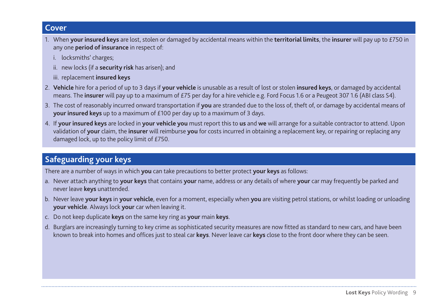# **Cover**

- 1. When **your insured keys** are lost, stolen or damaged by accidental means within the **territorial limits**, the **insurer** will pay up to £750 in any one **period of insurance** in respect of:
	- i. locksmiths' charges;
	- ii. new locks (if a **security risk** has arisen); and
	- iii. replacement **insured keys**
- 2. **Vehicle** hire for a period of up to 3 days if **your vehicle** is unusable as a result of lost or stolen **insured keys**, or damaged by accidental means. The **insurer** will pay up to a maximum of £75 per day for a hire vehicle e.g. Ford Focus 1.6 or a Peugeot 307 1.6 (ABI class S4).
- 3. The cost of reasonably incurred onward transportation if **you** are stranded due to the loss of, theft of, or damage by accidental means of **your insured keys** up to a maximum of £100 per day up to a maximum of 3 days.
- 4. If **your insured keys** are locked in **your vehicle you** must report this to **us** and **we** will arrange for a suitable contractor to attend. Upon validation of **your** claim, the **insurer** will reimburse **you** for costs incurred in obtaining a replacement key, or repairing or replacing any damaged lock, up to the policy limit of £750.

# **Safeguarding your keys**

There are a number of ways in which **you** can take precautions to better protect **your keys** as follows:

- a. Never attach anything to **your keys** that contains **your** name, address or any details of where **your** car may frequently be parked and never leave **keys** unattended.
- b. Never leave **your keys** in **your vehicle**, even for a moment, especially when **you** are visiting petrol stations, or whilst loading or unloading **your vehicle**. Always lock **your** car when leaving it.
- c. Do not keep duplicate **keys** on the same key ring as **your** main **keys**.
- d. Burglars are increasingly turning to key crime as sophisticated security measures are now fitted as standard to new cars, and have been known to break into homes and offices just to steal car **keys**. Never leave car **keys** close to the front door where they can be seen.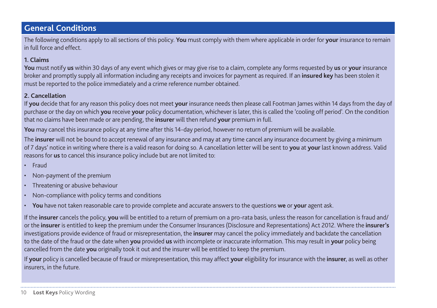# **General Conditions**

The following conditions apply to all sections of this policy. **You** must comply with them where applicable in order for **your** insurance to remain in full force and effect.

#### **1. Claims**

**You** must notify **us** within 30 days of any event which gives or may give rise to a claim, complete any forms requested by **us** or **your** insurance broker and promptly supply all information including any receipts and invoices for payment as required. If an **insured key** has been stolen it must be reported to the police immediately and a crime reference number obtained.

#### **2. Cancellation**

If **you** decide that for any reason this policy does not meet **your** insurance needs then please call Footman James within 14 days from the day of purchase or the day on which **you** receive **your** policy documentation, whichever is later, this is called the 'cooling off period'. On the condition that no claims have been made or are pending, the **insurer** will then refund **your** premium in full.

**You** may cancel this insurance policy at any time after this 14-day period, however no return of premium will be available.

The **insurer** will not be bound to accept renewal of any insurance and may at any time cancel any insurance document by giving a minimum of 7 days' notice in writing where there is a valid reason for doing so. A cancellation letter will be sent to **you** at **your** last known address. Valid reasons for **us** to cancel this insurance policy include but are not limited to:

- Fraud
- Non-payment of the premium
- Threatening or abusive behaviour
- Non-compliance with policy terms and conditions
- **You** have not taken reasonable care to provide complete and accurate answers to the questions **we** or **your** agent ask.

If the **insurer** cancels the policy, **you** will be entitled to a return of premium on a pro-rata basis, unless the reason for cancellation is fraud and/ or the **insurer** is entitled to keep the premium under the Consumer Insurances (Disclosure and Representations) Act 2012. Where the **insurer's** investigations provide evidence of fraud or misrepresentation, the **insurer** may cancel the policy immediately and backdate the cancellation to the date of the fraud or the date when **you** provided **us** with incomplete or inaccurate information. This may result in **your** policy being cancelled from the date **you** originally took it out and the insurer will be entitled to keep the premium.

If **your** policy is cancelled because of fraud or misrepresentation, this may affect **your** eligibility for insurance with the **insurer**, as well as other insurers, in the future.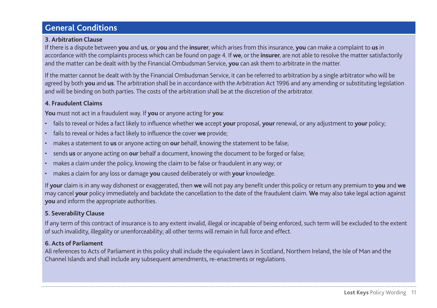# **General Conditions**

#### **3. Arbitration Clause**

If there is a dispute between **you** and **us**, or **you** and the **insurer**, which arises from this insurance, **you** can make a complaint to **us** in accordance with the complaints process which can be found on page 4. If **we**, or the **insurer**, are not able to resolve the matter satisfactorily and the matter can be dealt with by the Financial Ombudsman Service, **you** can ask them to arbitrate in the matter.

If the matter cannot be dealt with by the Financial Ombudsman Service, it can be referred to arbitration by a single arbitrator who will be agreed by both **you** and **us**. The arbitration shall be in accordance with the Arbitration Act 1996 and any amending or substituting legislation and will be binding on both parties. The costs of the arbitration shall be at the discretion of the arbitrator.

#### **4. Fraudulent Claims**

**You** must not act in a fraudulent way. If **you** or anyone acting for **you**:

- fails to reveal or hides a fact likely to influence whether **we** accept **your** proposal, **your** renewal, or any adjustment to **your** policy;
- fails to reveal or hides a fact likely to influence the cover **we** provide;
- makes a statement to **us** or anyone acting on **our** behalf, knowing the statement to be false;
- sends **us** or anyone acting on **our** behalf a document, knowing the document to be forged or false;
- makes a claim under the policy, knowing the claim to be false or fraudulent in any way; or
- makes a claim for any loss or damage **you** caused deliberately or with **your** knowledge.

If **your** claim is in any way dishonest or exaggerated, then **we** will not pay any benefit under this policy or return any premium to **you** and **we** may cancel **your** policy immediately and backdate the cancellation to the date of the fraudulent claim. **We** may also take legal action against **you** and inform the appropriate authorities.

#### **5. Severability Clause**

If any term of this contract of insurance is to any extent invalid, illegal or incapable of being enforced, such term will be excluded to the extent of such invalidity, illegality or unenforceability; all other terms will remain in full force and effect.

#### **6. Acts of Parliament**

All references to Acts of Parliament in this policy shall include the equivalent laws in Scotland, Northern Ireland, the Isle of Man and the Channel Islands and shall include any subsequent amendments, re-enactments or regulations.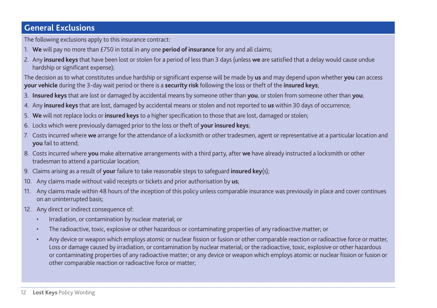# **General Exclusions**

The following exclusions apply to this insurance contract:

- 1. **We** will pay no more than £750 in total in any one **period of insurance** for any and all claims;
- 2. Any **insured keys** that have been lost or stolen for a period of less than 3 days (unless **we** are satisfied that a delay would cause undue hardship or significant expense);

The decision as to what constitutes undue hardship or significant expense will be made by **us** and may depend upon whether **you** can access **your vehicle** during the 3-day wait period or there is a **security risk** following the loss or theft of the **insured keys**;

- 3. **Insured keys** that are lost or damaged by accidental means by someone other than **you**, or stolen from someone other than **you**;
- 4. Any **insured keys** that are lost, damaged by accidental means or stolen and not reported to **us** within 30 days of occurrence;
- 5. **We** will not replace locks or **insured keys** to a higher specification to those that are lost, damaged or stolen;
- 6. Locks which were previously damaged prior to the loss or theft of **your insured keys**;
- 7. Costs incurred where **we** arrange for the attendance of a locksmith or other tradesmen, agent or representative at a particular location and **you** fail to attend;
- 8. Costs incurred where **you** make alternative arrangements with a third party, after **we** have already instructed a locksmith or other tradesman to attend a particular location;
- 9. Claims arising as a result of **your** failure to take reasonable steps to safeguard **insured key**(s);
- 10. Any claims made without valid receipts or tickets and prior authorisation by **us**;
- 11. Any claims made within 48 hours of the inception of this policy unless comparable insurance was previously in place and cover continues on an uninterrupted basis;
- 12. Any direct or indirect consequence of:
	- Irradiation, or contamination by nuclear material; or
	- The radioactive, toxic, explosive or other hazardous or contaminating properties of any radioactive matter; or
	- Any device or weapon which employs atomic or nuclear fission or fusion or other comparable reaction or radioactive force or matter, Loss or damage caused by irradiation, or contamination by nuclear material; or the radioactive, toxic, explosive or other hazardous or contaminating properties of any radioactive matter; or any device or weapon which employs atomic or nuclear fission or fusion or other comparable reaction or radioactive force or matter;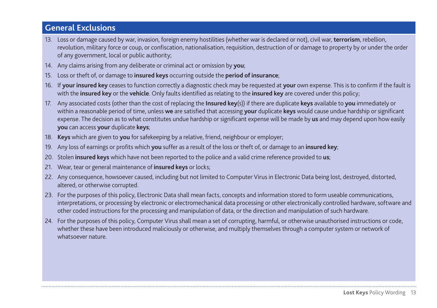# **General Exclusions**

- 13. Loss or damage caused by war, invasion, foreign enemy hostilities (whether war is declared or not), civil war, **terrorism**, rebellion, revolution, military force or coup, or confiscation, nationalisation, requisition, destruction of or damage to property by or under the order of any government, local or public authority;
- 14. Any claims arising from any deliberate or criminal act or omission by **you**;
- 15. Loss or theft of, or damage to **insured keys** occurring outside the **period of insurance**;
- 16. If **your insured key** ceases to function correctly a diagnostic check may be requested at **your** own expense. This is to confirm if the fault is with the **insured key** or the **vehicle**. Only faults identified as relating to the **insured key** are covered under this policy;
- 17. Any associated costs (other than the cost of replacing the **Insured key**(s)) if there are duplicate **keys** available to **you** immediately or within a reasonable period of time, unless **we** are satisfied that accessing **your** duplicate **keys** would cause undue hardship or significant expense. The decision as to what constitutes undue hardship or significant expense will be made by **us** and may depend upon how easily **you** can access **your** duplicate **keys**;
- 18. **Keys** which are given to **you** for safekeeping by a relative, friend, neighbour or employer;
- 19. Any loss of earnings or profits which **you** suffer as a result of the loss or theft of, or damage to an **insured key**;
- 20. Stolen **insured keys** which have not been reported to the police and a valid crime reference provided to **us**;
- 21. Wear, tear or general maintenance of **insured keys** or locks;
- 22. Any consequence, howsoever caused, including but not limited to Computer Virus in Electronic Data being lost, destroyed, distorted, altered, or otherwise corrupted.
- 23. For the purposes of this policy, Electronic Data shall mean facts, concepts and information stored to form useable communications, interpretations, or processing by electronic or electromechanical data processing or other electronically controlled hardware, software and other coded instructions for the processing and manipulation of data, or the direction and manipulation of such hardware.
- 24. For the purposes of this policy, Computer Virus shall mean a set of corrupting, harmful, or otherwise unauthorised instructions or code, whether these have been introduced maliciously or otherwise, and multiply themselves through a computer system or network of whatsoever nature.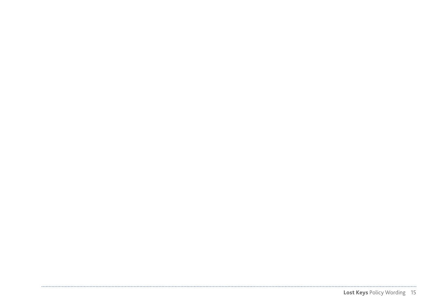**Lost Keys** Policy Wording 15